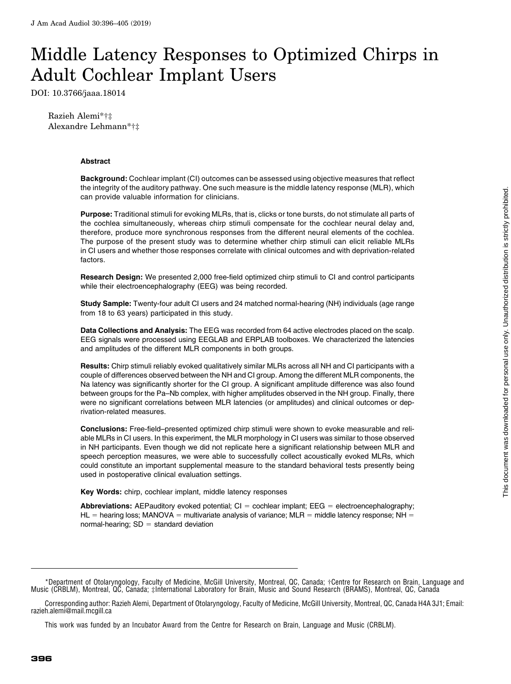# Middle Latency Responses to Optimized Chirps in Adult Cochlear Implant Users

DOI: 10.3766/jaaa.18014

Razieh Alemi\*†‡ Alexandre Lehmann\*†‡

#### Abstract

Background: Cochlear implant (CI) outcomes can be assessed using objective measures that reflect the integrity of the auditory pathway. One such measure is the middle latency response (MLR), which can provide valuable information for clinicians.

Purpose: Traditional stimuli for evoking MLRs, that is, clicks or tone bursts, do not stimulate all parts of the cochlea simultaneously, whereas chirp stimuli compensate for the cochlear neural delay and, therefore, produce more synchronous responses from the different neural elements of the cochlea. The purpose of the present study was to determine whether chirp stimuli can elicit reliable MLRs in CI users and whether those responses correlate with clinical outcomes and with deprivation-related factors.

Research Design: We presented 2,000 free-field optimized chirp stimuli to CI and control participants while their electroencephalography (EEG) was being recorded.

Study Sample: Twenty-four adult CI users and 24 matched normal-hearing (NH) individuals (age range from 18 to 63 years) participated in this study.

Data Collections and Analysis: The EEG was recorded from 64 active electrodes placed on the scalp. EEG signals were processed using EEGLAB and ERPLAB toolboxes. We characterized the latencies and amplitudes of the different MLR components in both groups.

Results: Chirp stimuli reliably evoked qualitatively similar MLRs across all NH and CI participants with a couple of differences observed between the NH and CI group. Among the different MLR components, the Na latency was significantly shorter for the CI group. A significant amplitude difference was also found between groups for the Pa–Nb complex, with higher amplitudes observed in the NH group. Finally, there were no significant correlations between MLR latencies (or amplitudes) and clinical outcomes or deprivation-related measures.

Conclusions: Free-field–presented optimized chirp stimuli were shown to evoke measurable and reliable MLRs in CI users. In this experiment, the MLR morphology in CI users was similar to those observed in NH participants. Even though we did not replicate here a significant relationship between MLR and speech perception measures, we were able to successfully collect acoustically evoked MLRs, which could constitute an important supplemental measure to the standard behavioral tests presently being used in postoperative clinical evaluation settings.

Key Words: chirp, cochlear implant, middle latency responses

**Abbreviations:** AEPauditory evoked potential;  $CI = \text{cochlear implant}$ ; EEG = electroencephalography; HL = hearing loss; MANOVA = multivariate analysis of variance; MLR = middle latency response; NH = normal-hearing;  $SD =$  standard deviation

<sup>\*</sup>Department of Otolaryngology, Faculty of Medicine, McGill University, Montreal, QC, Canada; †Centre for Research on Brain, Language and Music (CRBLM), Montreal, QC, Canada; ‡International Laboratory for Brain, Music and Sound Research (BRAMS), Montreal, QC, Canada

Corresponding author: Razieh Alemi, Department of Otolaryngology, Faculty of Medicine, McGill University, Montreal, QC, Canada H4A 3J1; Email: [razieh.alemi@mail.mcgill.ca](mailto:razieh.alemi@mail.mcgill.ca)

This work was funded by an Incubator Award from the Centre for Research on Brain, Language and Music (CRBLM).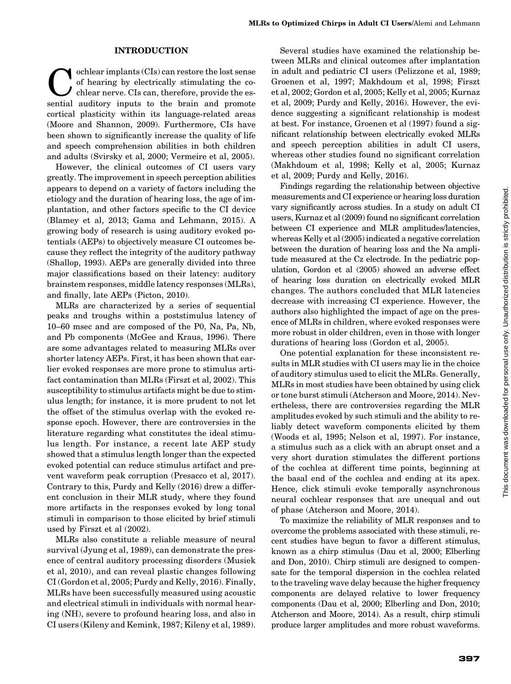#### INTRODUCTION

ochlear implants (CIs) can restore the lost sense of hearing by electrically stimulating the cochlear nerve. CIs can, therefore, provide the essential auditory inputs to the brain and promote cortical plasticity within its language-related areas (Moore and Shannon, 2009). Furthermore, CIs have been shown to significantly increase the quality of life and speech comprehension abilities in both children and adults (Svirsky et al, 2000; Vermeire et al, 2005).

However, the clinical outcomes of CI users vary greatly. The improvement in speech perception abilities appears to depend on a variety of factors including the etiology and the duration of hearing loss, the age of implantation, and other factors specific to the CI device (Blamey et al, 2013; Gama and Lehmann, 2015). A growing body of research is using auditory evoked potentials (AEPs) to objectively measure CI outcomes because they reflect the integrity of the auditory pathway (Shallop, 1993). AEPs are generally divided into three major classifications based on their latency: auditory brainstem responses, middle latency responses (MLRs), and finally, late AEPs (Picton, 2010).

MLRs are characterized by a series of sequential peaks and troughs within a poststimulus latency of 10–60 msec and are composed of the P0, Na, Pa, Nb, and Pb components (McGee and Kraus, 1996). There are some advantages related to measuring MLRs over shorter latency AEPs. First, it has been shown that earlier evoked responses are more prone to stimulus artifact contamination than MLRs (Firszt et al, 2002). This susceptibility to stimulus artifacts might be due to stimulus length; for instance, it is more prudent to not let the offset of the stimulus overlap with the evoked response epoch. However, there are controversies in the literature regarding what constitutes the ideal stimulus length. For instance, a recent late AEP study showed that a stimulus length longer than the expected evoked potential can reduce stimulus artifact and prevent waveform peak corruption (Presacco et al, 2017). Contrary to this, Purdy and Kelly (2016) drew a different conclusion in their MLR study, where they found more artifacts in the responses evoked by long tonal stimuli in comparison to those elicited by brief stimuli used by Firszt et al (2002).

MLRs also constitute a reliable measure of neural survival (Jyung et al, 1989), can demonstrate the presence of central auditory processing disorders (Musiek et al, 2010), and can reveal plastic changes following CI (Gordon et al, 2005; Purdy and Kelly, 2016). Finally, MLRs have been successfully measured using acoustic and electrical stimuli in individuals with normal hearing (NH), severe to profound hearing loss, and also in CI users (Kileny and Kemink, 1987; Kileny et al, 1989).

Several studies have examined the relationship between MLRs and clinical outcomes after implantation in adult and pediatric CI users (Pelizzone et al, 1989; Groenen et al, 1997; Makhdoum et al, 1998; Firszt et al, 2002; Gordon et al, 2005; Kelly et al, 2005; Kurnaz et al, 2009; Purdy and Kelly, 2016). However, the evidence suggesting a significant relationship is modest at best. For instance, Groenen et al (1997) found a significant relationship between electrically evoked MLRs and speech perception abilities in adult CI users, whereas other studies found no significant correlation (Makhdoum et al, 1998; Kelly et al, 2005; Kurnaz et al, 2009; Purdy and Kelly, 2016).

Findings regarding the relationship between objective measurements and CI experience or hearing loss duration vary significantly across studies. In a study on adult CI users, Kurnaz et al (2009) found no significant correlation between CI experience and MLR amplitudes/latencies, whereas Kelly et al (2005) indicated a negative correlation between the duration of hearing loss and the Na amplitude measured at the Cz electrode. In the pediatric population, Gordon et al (2005) showed an adverse effect of hearing loss duration on electrically evoked MLR changes. The authors concluded that MLR latencies decrease with increasing CI experience. However, the authors also highlighted the impact of age on the presence of MLRs in children, where evoked responses were more robust in older children, even in those with longer durations of hearing loss (Gordon et al, 2005).

One potential explanation for these inconsistent results in MLR studies with CI users may lie in the choice of auditory stimulus used to elicit the MLRs. Generally, MLRs in most studies have been obtained by using click or tone burst stimuli (Atcherson and Moore, 2014). Nevertheless, there are controversies regarding the MLR amplitudes evoked by such stimuli and the ability to reliably detect waveform components elicited by them (Woods et al, 1995; Nelson et al, 1997). For instance, a stimulus such as a click with an abrupt onset and a very short duration stimulates the different portions of the cochlea at different time points, beginning at the basal end of the cochlea and ending at its apex. Hence, click stimuli evoke temporally asynchronous neural cochlear responses that are unequal and out of phase (Atcherson and Moore, 2014).

To maximize the reliability of MLR responses and to overcome the problems associated with these stimuli, recent studies have begun to favor a different stimulus, known as a chirp stimulus (Dau et al, 2000; Elberling and Don, 2010). Chirp stimuli are designed to compensate for the temporal dispersion in the cochlea related to the traveling wave delay because the higher frequency components are delayed relative to lower frequency components (Dau et al, 2000; Elberling and Don, 2010; Atcherson and Moore, 2014). As a result, chirp stimuli produce larger amplitudes and more robust waveforms.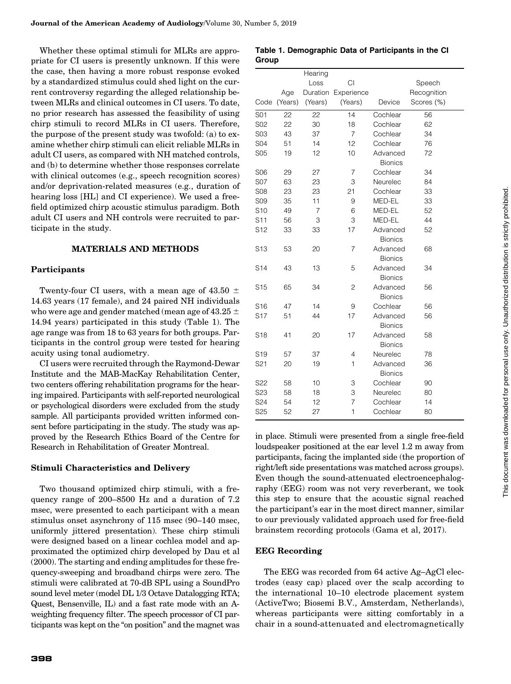Whether these optimal stimuli for MLRs are appropriate for CI users is presently unknown. If this were the case, then having a more robust response evoked by a standardized stimulus could shed light on the current controversy regarding the alleged relationship between MLRs and clinical outcomes in CI users. To date, no prior research has assessed the feasibility of using chirp stimuli to record MLRs in CI users. Therefore, the purpose of the present study was twofold: (a) to examine whether chirp stimuli can elicit reliable MLRs in adult CI users, as compared with NH matched controls, and (b) to determine whether those responses correlate with clinical outcomes (e.g., speech recognition scores) and/or deprivation-related measures (e.g., duration of hearing loss [HL] and CI experience). We used a freefield optimized chirp acoustic stimulus paradigm. Both adult CI users and NH controls were recruited to participate in the study.

# MATERIALS AND METHODS

# Participants

Twenty-four CI users, with a mean age of 43.50  $\pm$ 14.63 years (17 female), and 24 paired NH individuals who were age and gender matched (mean age of  $43.25 \pm 1$ 14.94 years) participated in this study (Table 1). The age range was from 18 to 63 years for both groups. Participants in the control group were tested for hearing acuity using tonal audiometry.

CI users were recruited through the Raymond-Dewar Institute and the MAB-MacKay Rehabilitation Center, two centers offering rehabilitation programs for the hearing impaired. Participants with self-reported neurological or psychological disorders were excluded from the study sample. All participants provided written informed consent before participating in the study. The study was approved by the Research Ethics Board of the Centre for Research in Rehabilitation of Greater Montreal.

# Stimuli Characteristics and Delivery

Two thousand optimized chirp stimuli, with a frequency range of 200–8500 Hz and a duration of 7.2 msec, were presented to each participant with a mean stimulus onset asynchrony of 115 msec (90–140 msec, uniformly jittered presentation). These chirp stimuli were designed based on a linear cochlea model and approximated the optimized chirp developed by Dau et al (2000). The starting and ending amplitudes for these frequency-sweeping and broadband chirps were zero. The stimuli were calibrated at 70-dB SPL using a SoundPro sound level meter (model DL 1/3 Octave Datalogging RTA; Quest, Bensenville, IL) and a fast rate mode with an Aweighting frequency filter. The speech processor of CI participants was kept on the ''on position'' and the magnet was

| Table 1. Demographic Data of Participants in the CI |  |  |
|-----------------------------------------------------|--|--|
| Group                                               |  |  |

|                 |         | Hearing |                     |                |             |
|-----------------|---------|---------|---------------------|----------------|-------------|
|                 |         | Loss    | CI                  |                | Speech      |
|                 | Age     |         | Duration Experience |                | Recognition |
| Code            | (Years) | (Years) | (Years)             | Device         | Scores (%)  |
| S01             | 22      | 22      | 14                  | Cochlear       | 56          |
| S02             | 22      | 30      | 18                  | Cochlear       | 62          |
| S03             | 43      | 37      | $\overline{7}$      | Cochlear       | 34          |
| <b>S04</b>      | 51      | 14      | 12                  | Cochlear       | 76          |
| <b>S05</b>      | 19      | 12      | 10                  | Advanced       | 72          |
|                 |         |         |                     | <b>Bionics</b> |             |
| S <sub>06</sub> | 29      | 27      | $\overline{7}$      | Cochlear       | 34          |
| <b>S07</b>      | 63      | 23      | 3                   | Neurelec       | 84          |
| <b>S08</b>      | 23      | 23      | 21                  | Cochlear       | 33          |
| <b>S09</b>      | 35      | 11      | 9                   | MED-EL         | 33          |
| S <sub>10</sub> | 49      | 7       | 6                   | MED-EL         | 52          |
| S <sub>11</sub> | 56      | 3       | 3                   | MED-EL         | 44          |
| S <sub>12</sub> | 33      | 33      | 17                  | Advanced       | 52          |
|                 |         |         |                     | <b>Bionics</b> |             |
| S <sub>13</sub> | 53      | 20      | 7                   | Advanced       | 68          |
|                 |         |         |                     | <b>Bionics</b> |             |
| S <sub>14</sub> | 43      | 13      | 5                   | Advanced       | 34          |
|                 |         |         |                     | <b>Bionics</b> |             |
| S <sub>15</sub> | 65      | 34      | $\overline{c}$      | Advanced       | 56          |
|                 |         |         |                     | <b>Bionics</b> |             |
| S <sub>16</sub> | 47      | 14      | 9                   | Cochlear       | 56          |
| S <sub>17</sub> | 51      | 44      | 17                  | Advanced       | 56          |
|                 |         |         |                     | <b>Bionics</b> |             |
| S <sub>18</sub> | 41      | 20      | 17                  | Advanced       | 58          |
|                 |         |         |                     | <b>Bionics</b> |             |
| S <sub>19</sub> | 57      | 37      | $\overline{4}$      | Neurelec       | 78          |
| S21             | 20      | 19      | $\mathbf{1}$        | Advanced       | 36          |
|                 |         |         |                     | <b>Bionics</b> |             |
| S <sub>22</sub> | 58      | 10      | 3                   | Cochlear       | 90          |
| S <sub>23</sub> | 58      | 18      | 3                   | Neurelec       | 80          |
| S24             | 54      | 12      | 7                   | Cochlear       | 14          |
| S <sub>25</sub> | 52      | 27      | 1                   | Cochlear       | 80          |

in place. Stimuli were presented from a single free-field loudspeaker positioned at the ear level 1.2 m away from participants, facing the implanted side (the proportion of right/left side presentations was matched across groups). Even though the sound-attenuated electroencephalography (EEG) room was not very reverberant, we took this step to ensure that the acoustic signal reached the participant's ear in the most direct manner, similar to our previously validated approach used for free-field brainstem recording protocols (Gama et al, 2017).

# EEG Recording

The EEG was recorded from 64 active Ag–AgCl electrodes (easy cap) placed over the scalp according to the international 10–10 electrode placement system (ActiveTwo; Biosemi B.V., Amsterdam, Netherlands), whereas participants were sitting comfortably in a chair in a sound-attenuated and electromagnetically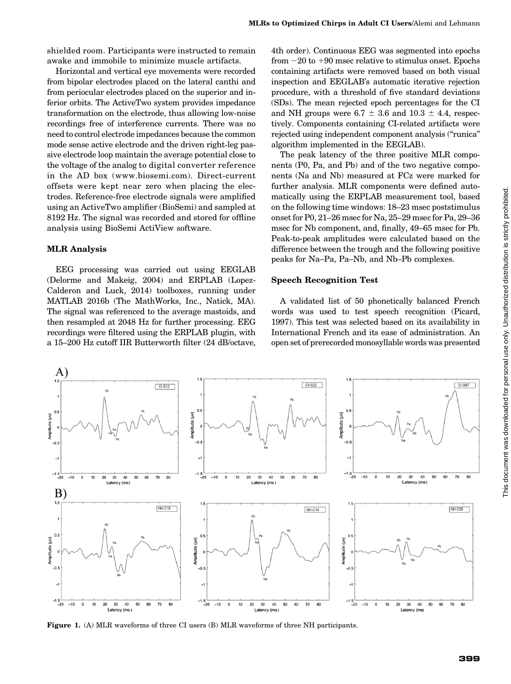shielded room. Participants were instructed to remain awake and immobile to minimize muscle artifacts.

Horizontal and vertical eye movements were recorded from bipolar electrodes placed on the lateral canthi and from periocular electrodes placed on the superior and inferior orbits. The ActiveTwo system provides impedance transformation on the electrode, thus allowing low-noise recordings free of interference currents. There was no need to control electrode impedances because the common mode sense active electrode and the driven right-leg passive electrode loop maintain the average potential close to the voltage of the analog to digital converter reference in the AD box ([www.biosemi.com\)](http://www.biosemi.com/). Direct-current offsets were kept near zero when placing the electrodes. Reference-free electrode signals were amplified using an ActiveTwo amplifier (BioSemi) and sampled at 8192 Hz. The signal was recorded and stored for offline analysis using BioSemi ActiView software.

## MLR Analysis

EEG processing was carried out using EEGLAB (Delorme and Makeig, 2004) and ERPLAB (Lopez-Calderon and Luck, 2014) toolboxes, running under MATLAB 2016b (The MathWorks, Inc., Natick, MA). The signal was referenced to the average mastoids, and then resampled at 2048 Hz for further processing. EEG recordings were filtered using the ERPLAB plugin, with a 15–200 Hz cutoff IIR Butterworth filter (24 dB/octave,

4th order). Continuous EEG was segmented into epochs from  $-20$  to  $+90$  msec relative to stimulus onset. Epochs containing artifacts were removed based on both visual inspection and EEGLAB's automatic iterative rejection procedure, with a threshold of five standard deviations (SDs). The mean rejected epoch percentages for the CI and NH groups were 6.7  $\pm$  3.6 and 10.3  $\pm$  4.4, respectively. Components containing CI-related artifacts were rejected using independent component analysis (''runica'' algorithm implemented in the EEGLAB).

The peak latency of the three positive MLR components (P0, Pa, and Pb) and of the two negative components (Na and Nb) measured at FCz were marked for further analysis. MLR components were defined automatically using the ERPLAB measurement tool, based on the following time windows: 18–23 msec poststimulus onset for P0, 21–26 msec for Na, 25–29 msec for Pa, 29–36 msec for Nb component, and, finally, 49–65 msec for Pb. Peak-to-peak amplitudes were calculated based on the difference between the trough and the following positive peaks for Na–Pa, Pa–Nb, and Nb–Pb complexes.

#### Speech Recognition Test

A validated list of 50 phonetically balanced French words was used to test speech recognition (Picard, 1997). This test was selected based on its availability in International French and its ease of administration. An open set of prerecorded monosyllable words was presented



Figure 1. (A) MLR waveforms of three CI users (B) MLR waveforms of three NH participants.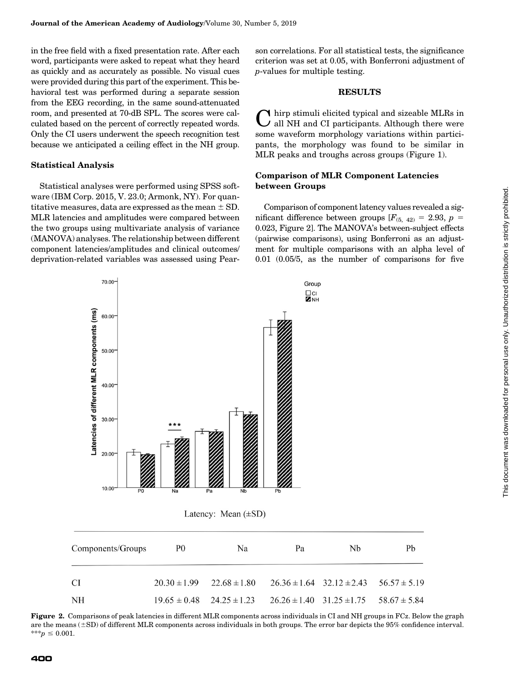in the free field with a fixed presentation rate. After each word, participants were asked to repeat what they heard as quickly and as accurately as possible. No visual cues were provided during this part of the experiment. This behavioral test was performed during a separate session from the EEG recording, in the same sound-attenuated room, and presented at 70-dB SPL. The scores were calculated based on the percent of correctly repeated words. Only the CI users underwent the speech recognition test because we anticipated a ceiling effect in the NH group.

#### Statistical Analysis

Statistical analyses were performed using SPSS software (IBM Corp. 2015, V. 23.0; Armonk, NY). For quantitative measures, data are expressed as the mean  $\pm$  SD. MLR latencies and amplitudes were compared between the two groups using multivariate analysis of variance (MANOVA) analyses. The relationship between different component latencies/amplitudes and clinical outcomes/ deprivation-related variables was assessed using Pear-

 $70.00$ 

son correlations. For all statistical tests, the significance criterion was set at 0.05, with Bonferroni adjustment of p-values for multiple testing.

## **RESULTS**

Chirp stimuli elicited typical and sizeable MLRs in all NH and CI participants. Although there were some waveform morphology variations within participants, the morphology was found to be similar in MLR peaks and troughs across groups (Figure 1).

## Comparison of MLR Component Latencies between Groups

Comparison of component latency values revealed a significant difference between groups  $[F_{(5, 42)} = 2.93, p =$ 0.023, Figure 2]. The MANOVA's between-subject effects (pairwise comparisons), using Bonferroni as an adjustment for multiple comparisons with an alpha level of 0.01 (0.05/5, as the number of comparisons for five



Figure 2. Comparisons of peak latencies in different MLR components across individuals in CI and NH groups in FCz. Below the graph are the means  $(\pm SD)$  of different MLR components across individuals in both groups. The error bar depicts the 95% confidence interval.  $***p \leq 0.001$ .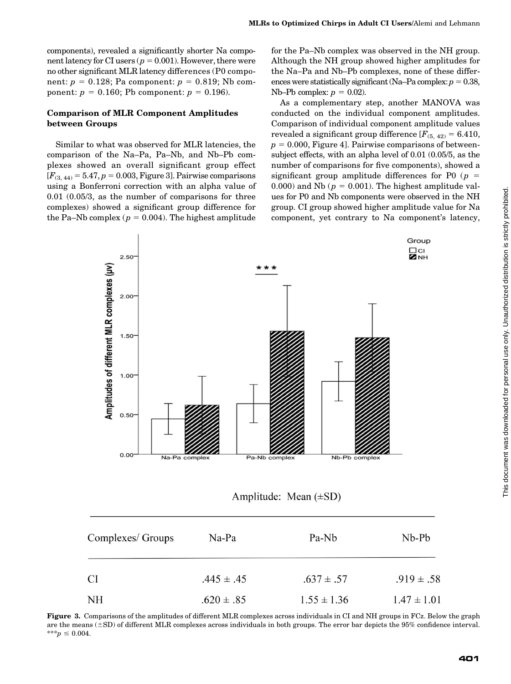components), revealed a significantly shorter Na component latency for CI users ( $p = 0.001$ ). However, there were no other significant MLR latency differences (P0 component:  $p = 0.128$ ; Pa component:  $p = 0.819$ ; Nb component:  $p = 0.160$ ; Pb component:  $p = 0.196$ ).

## Comparison of MLR Component Amplitudes between Groups

Similar to what was observed for MLR latencies, the comparison of the Na–Pa, Pa–Nb, and Nb–Pb complexes showed an overall significant group effect  $[F_{(3, 44)} = 5.47, p = 0.003,$  Figure 3]. Pairwise comparisons using a Bonferroni correction with an alpha value of 0.01 (0.05/3, as the number of comparisons for three complexes) showed a significant group difference for the Pa–Nb complex ( $p = 0.004$ ). The highest amplitude

for the Pa–Nb complex was observed in the NH group. Although the NH group showed higher amplitudes for the Na–Pa and Nb–Pb complexes, none of these differences were statistically significant (Na–Pa complex:  $p = 0.38$ , Nb–Pb complex:  $p = 0.02$ ).

As a complementary step, another MANOVA was conducted on the individual component amplitudes. Comparison of individual component amplitude values revealed a significant group difference  $[F_{(5, 42)} = 6.410,$  $p = 0.000$ , Figure 4]. Pairwise comparisons of betweensubject effects, with an alpha level of 0.01 (0.05/5, as the number of comparisons for five components), showed a significant group amplitude differences for P0 ( $p =$ 0.000) and Nb ( $p = 0.001$ ). The highest amplitude values for P0 and Nb components were observed in the NH group. CI group showed higher amplitude value for Na component, yet contrary to Na component's latency,



Amplitude: Mean  $(\pm SD)$ 

| Complexes/ Groups | Na-Pa          | Pa-Nb           | $Nb-Pb$         |  |
|-------------------|----------------|-----------------|-----------------|--|
| CI                | $.445 \pm .45$ | $.637 \pm .57$  | $.919 \pm .58$  |  |
| NH                | $.620 \pm .85$ | $1.55 \pm 1.36$ | $1.47 \pm 1.01$ |  |

Figure 3. Comparisons of the amplitudes of different MLR complexes across individuals in CI and NH groups in FCz. Below the graph are the means  $(\pm SD)$  of different MLR complexes across individuals in both groups. The error bar depicts the 95% confidence interval. \*\*\*p  $\leq 0.004$ .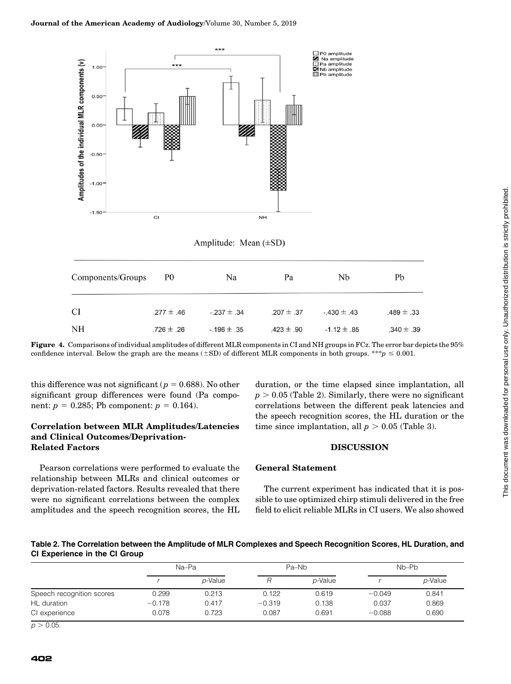

Amplitude: Mean (±SD)

| Components/Groups | P0             | Na              | Pa             | Nb              | Pb             |
|-------------------|----------------|-----------------|----------------|-----------------|----------------|
| CI                | $.277 \pm .46$ | $-237 \pm .34$  | $.207 \pm .37$ | $-430 \pm .43$  | $.489 \pm .33$ |
| NH                | $.726 \pm .26$ | $-196 \pm 0.35$ | $.423 \pm .90$ | $-1.12 \pm .85$ | $.340 \pm .39$ |

Figure 4. Comparisons of individual amplitudes of different MLR components in CI and NH groups in FCz. The error bar depicts the 95% confidence interval. Below the graph are the means ( $\pm$ SD) of different MLR components in both groups. \*\*\*p  $\leq$  0.001.

this difference was not significant ( $p = 0.688$ ). No other significant group differences were found (Pa component:  $p = 0.285$ ; Pb component:  $p = 0.164$ .

## Correlation between MLR Amplitudes/Latencies and Clinical Outcomes/Deprivation-Related Factors

Pearson correlations were performed to evaluate the relationship between MLRs and clinical outcomes or deprivation-related factors. Results revealed that there were no significant correlations between the complex amplitudes and the speech recognition scores, the HL

duration, or the time elapsed since implantation, all  $p > 0.05$  (Table 2). Similarly, there were no significant correlations between the different peak latencies and the speech recognition scores, the HL duration or the time since implantation, all  $p > 0.05$  (Table 3).

## **DISCUSSION**

## General Statement

The current experiment has indicated that it is possible to use optimized chirp stimuli delivered in the free field to elicit reliable MLRs in CI users. We also showed

Table 2. The Correlation between the Amplitude of MLR Complexes and Speech Recognition Scores, HL Duration, and CI Experience in the CI Group

|                           | Na-Pa    |         |          | Pa-Nb   | Nb-Pb    |         |
|---------------------------|----------|---------|----------|---------|----------|---------|
|                           |          | p-Value |          | p-Value |          | p-Value |
| Speech recognition scores | 0.299    | 0.213   | 0.122    | 0.619   | $-0.049$ | 0.841   |
| HL duration               | $-0.178$ | 0.417   | $-0.319$ | 0.138   | 0.037    | 0.869   |
| CI experience             | 0.078    | 0.723   | 0.087    | 0.691   | $-0.088$ | 0.690   |

 $p > 0.05$ .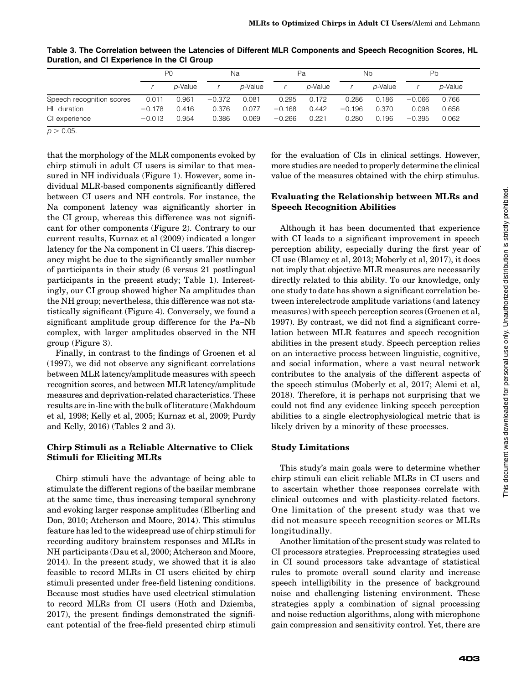|                           | P <sub>0</sub> |                 | Na       |                 | Pa       |                 | Nb       |                 | Pb       |                 |  |
|---------------------------|----------------|-----------------|----------|-----------------|----------|-----------------|----------|-----------------|----------|-----------------|--|
|                           |                | <i>p</i> -Value |          | <i>p</i> -Value |          | <i>p</i> -Value |          | <i>p</i> -Value |          | <i>p</i> -Value |  |
| Speech recognition scores | 0.011          | 0.961           | $-0.372$ | 0.081           | 0.295    | 0.172           | 0.286    | 0.186           | $-0.066$ | 0.766           |  |
| HL duration               | $-0.178$       | 0.416           | 0.376    | 0.077           | $-0.168$ | 0.442           | $-0.196$ | 0.370           | 0.098    | 0.656           |  |
| CI experience             | $-0.013$       | 0.954           | 0.386    | 0.069           | $-0.266$ | 0.221           | 0.280    | 0.196           | $-0.395$ | 0.062           |  |

Table 3. The Correlation between the Latencies of Different MLR Components and Speech Recognition Scores, HL Duration, and CI Experience in the CI Group

 $p > 0.05$ .

that the morphology of the MLR components evoked by chirp stimuli in adult CI users is similar to that measured in NH individuals (Figure 1). However, some individual MLR-based components significantly differed between CI users and NH controls. For instance, the Na component latency was significantly shorter in the CI group, whereas this difference was not significant for other components (Figure 2). Contrary to our current results, Kurnaz et al (2009) indicated a longer latency for the Na component in CI users. This discrepancy might be due to the significantly smaller number of participants in their study (6 versus 21 postlingual participants in the present study; Table 1). Interestingly, our CI group showed higher Na amplitudes than the NH group; nevertheless, this difference was not statistically significant (Figure 4). Conversely, we found a significant amplitude group difference for the Pa–Nb complex, with larger amplitudes observed in the NH group (Figure 3).

Finally, in contrast to the findings of Groenen et al (1997), we did not observe any significant correlations between MLR latency/amplitude measures with speech recognition scores, and between MLR latency/amplitude measures and deprivation-related characteristics. These results are in-line with the bulk of literature (Makhdoum et al, 1998; Kelly et al, 2005; Kurnaz et al, 2009; Purdy and Kelly, 2016) (Tables 2 and 3).

## Chirp Stimuli as a Reliable Alternative to Click Stimuli for Eliciting MLRs

Chirp stimuli have the advantage of being able to stimulate the different regions of the basilar membrane at the same time, thus increasing temporal synchrony and evoking larger response amplitudes (Elberling and Don, 2010; Atcherson and Moore, 2014). This stimulus feature has led to the widespread use of chirp stimuli for recording auditory brainstem responses and MLRs in NH participants (Dau et al, 2000; Atcherson and Moore, 2014). In the present study, we showed that it is also feasible to record MLRs in CI users elicited by chirp stimuli presented under free-field listening conditions. Because most studies have used electrical stimulation to record MLRs from CI users (Hoth and Dziemba, 2017), the present findings demonstrated the significant potential of the free-field presented chirp stimuli for the evaluation of CIs in clinical settings. However, more studies are needed to properly determine the clinical value of the measures obtained with the chirp stimulus.

## Evaluating the Relationship between MLRs and Speech Recognition Abilities

Although it has been documented that experience with CI leads to a significant improvement in speech perception ability, especially during the first year of CI use (Blamey et al, 2013; Moberly et al, 2017), it does not imply that objective MLR measures are necessarily directly related to this ability. To our knowledge, only one study to date has shown a significant correlation between interelectrode amplitude variations (and latency measures) with speech perception scores (Groenen et al, 1997). By contrast, we did not find a significant correlation between MLR features and speech recognition abilities in the present study. Speech perception relies on an interactive process between linguistic, cognitive, and social information, where a vast neural network contributes to the analysis of the different aspects of the speech stimulus (Moberly et al, 2017; Alemi et al, 2018). Therefore, it is perhaps not surprising that we could not find any evidence linking speech perception abilities to a single electrophysiological metric that is likely driven by a minority of these processes.

## Study Limitations

This study's main goals were to determine whether chirp stimuli can elicit reliable MLRs in CI users and to ascertain whether those responses correlate with clinical outcomes and with plasticity-related factors. One limitation of the present study was that we did not measure speech recognition scores or MLRs longitudinally.

Another limitation of the present study was related to CI processors strategies. Preprocessing strategies used in CI sound processors take advantage of statistical rules to promote overall sound clarity and increase speech intelligibility in the presence of background noise and challenging listening environment. These strategies apply a combination of signal processing and noise reduction algorithms, along with microphone gain compression and sensitivity control. Yet, there are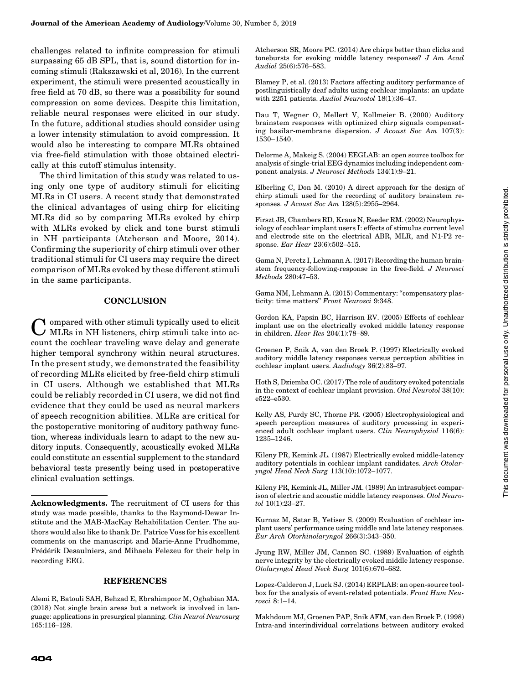challenges related to infinite compression for stimuli surpassing 65 dB SPL, that is, sound distortion for incoming stimuli (Rakszawski et al, 2016). In the current experiment, the stimuli were presented acoustically in free field at 70 dB, so there was a possibility for sound compression on some devices. Despite this limitation, reliable neural responses were elicited in our study. In the future, additional studies should consider using a lower intensity stimulation to avoid compression. It would also be interesting to compare MLRs obtained via free-field stimulation with those obtained electrically at this cutoff stimulus intensity.

The third limitation of this study was related to using only one type of auditory stimuli for eliciting MLRs in CI users. A recent study that demonstrated the clinical advantages of using chirp for eliciting MLRs did so by comparing MLRs evoked by chirp with MLRs evoked by click and tone burst stimuli in NH participants (Atcherson and Moore, 2014). Confirming the superiority of chirp stimuli over other traditional stimuli for CI users may require the direct comparison of MLRs evoked by these different stimuli in the same participants.

## **CONCLUSION**

**Y** ompared with other stimuli typically used to elicit MLRs in NH listeners, chirp stimuli take into account the cochlear traveling wave delay and generate higher temporal synchrony within neural structures. In the present study, we demonstrated the feasibility of recording MLRs elicited by free-field chirp stimuli in CI users. Although we established that MLRs could be reliably recorded in CI users, we did not find evidence that they could be used as neural markers of speech recognition abilities. MLRs are critical for the postoperative monitoring of auditory pathway function, whereas individuals learn to adapt to the new auditory inputs. Consequently, acoustically evoked MLRs could constitute an essential supplement to the standard behavioral tests presently being used in postoperative clinical evaluation settings.

#### REFERENCES

Atcherson SR, Moore PC. (2014) Are chirps better than clicks and tonebursts for evoking middle latency responses? J Am Acad Audiol 25(6):576–583.

Blamey P, et al. (2013) Factors affecting auditory performance of postlinguistically deaf adults using cochlear implants: an update with 2251 patients. Audiol Neurootol 18(1):36–47.

Dau T, Wegner O, Mellert V, Kollmeier B. (2000) Auditory brainstem responses with optimized chirp signals compensating basilar-membrane dispersion. J Acoust Soc Am 107(3): 1530–1540.

Delorme A, Makeig S. (2004) EEGLAB: an open source toolbox for analysis of single-trial EEG dynamics including independent component analysis. J Neurosci Methods 134(1):9–21.

Elberling C, Don M. (2010) A direct approach for the design of chirp stimuli used for the recording of auditory brainstem responses. J Acoust Soc Am 128(5):2955–2964.

Firszt JB, Chambers RD, Kraus N, Reeder RM. (2002) Neurophysiology of cochlear implant users I: effects of stimulus current level and electrode site on the electrical ABR, MLR, and N1-P2 response. Ear Hear 23(6):502–515.

Gama N, Peretz I, Lehmann A. (2017) Recording the human brainstem frequency-following-response in the free-field. J Neurosci Methods 280:47–53.

Gama NM, Lehmann A. (2015) Commentary: ''compensatory plasticity: time matters'' Front Neurosci 9:348.

Gordon KA, Papsin BC, Harrison RV. (2005) Effects of cochlear implant use on the electrically evoked middle latency response in children. Hear Res 204(1):78–89.

Groenen P, Snik A, van den Broek P. (1997) Electrically evoked auditory middle latency responses versus perception abilities in cochlear implant users. Audiology 36(2):83–97.

Hoth S, Dziemba OC. (2017) The role of auditory evoked potentials in the context of cochlear implant provision. Otol Neurotol 38(10): e522–e530.

Kelly AS, Purdy SC, Thorne PR. (2005) Electrophysiological and speech perception measures of auditory processing in experienced adult cochlear implant users. Clin Neurophysiol 116(6): 1235–1246.

Kileny PR, Kemink JL. (1987) Electrically evoked middle-latency auditory potentials in cochlear implant candidates. Arch Otolaryngol Head Neck Surg 113(10):1072–1077.

Kileny PR, Kemink JL, Miller JM. (1989) An intrasubject comparison of electric and acoustic middle latency responses. Otol Neurotol 10(1):23–27.

Kurnaz M, Satar B, Yetiser S. (2009) Evaluation of cochlear implant users' performance using middle and late latency responses. Eur Arch Otorhinolaryngol 266(3):343–350.

Jyung RW, Miller JM, Cannon SC. (1989) Evaluation of eighth nerve integrity by the electrically evoked middle latency response. Otolaryngol Head Neck Surg 101(6):670–682.

Lopez-Calderon J, Luck SJ. (2014) ERPLAB: an open-source toolbox for the analysis of event-related potentials. Front Hum Neurosci 8:1–14.

Makhdoum MJ, Groenen PAP, Snik AFM, van den Broek P. (1998) Intra-and interindividual correlations between auditory evoked

Acknowledgments. The recruitment of CI users for this study was made possible, thanks to the Raymond-Dewar Institute and the MAB-MacKay Rehabilitation Center. The authors would also like to thank Dr. Patrice Voss for his excellent comments on the manuscript and Marie-Anne Prudhomme, Frédérik Desaulniers, and Mihaela Felezeu for their help in recording EEG.

Alemi R, Batouli SAH, Behzad E, Ebrahimpoor M, Oghabian MA. (2018) Not single brain areas but a network is involved in language: applications in presurgical planning. Clin Neurol Neurosurg 165:116–128.